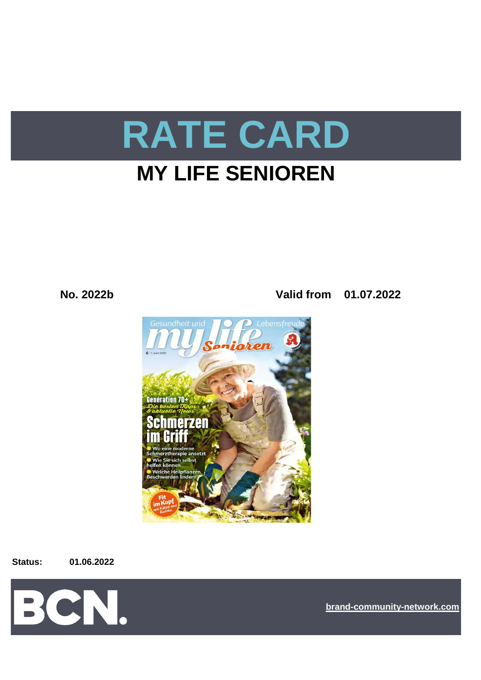

# **MY LIFE SENIOREN**

**No. 2022b Valid from 01.07.2022**



**Status: 01.06.2022**



**[bra](https://bcn.burda.com/)nd-community-network.com**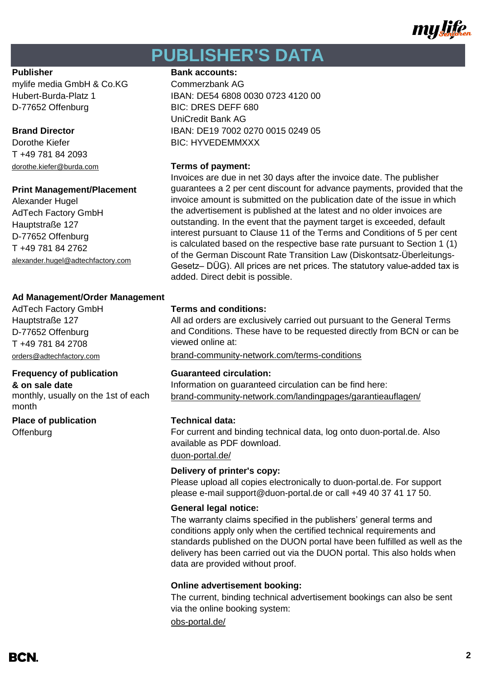

# **PUBLISHER'S DATA**

mylife media GmbH & Co.KG Commerzbank AG D-77652 Offenburg BIC: DRES DEFF 680

T +49 781 84 2093

### **Print Management/Placement**

Alexander Hugel AdTech Factory GmbH Hauptstraße 127 D-77652 Offenburg T +49 781 84 2762 alexander.hugel@adtechfactory.com

## **Ad Management/Order Management**

Hauptstraße 127 D-77652 Offenburg T +49 781 84 2708

# **Frequency of publication Guaranteed circulation:**

monthly, usually on the 1st of each month

## **Place of publication Technical data:**

**Offenburg** 

## **Publisher Bank accounts:**

Hubert-Burda-Platz 1 IBAN: DE54 6808 0030 0723 4120 00 UniCredit Bank AG **Brand Director IBAN: DE19 7002 0270 0015 0249 05** Dorothe Kiefer **BIC: HYVEDEMMXXX** 

# dorothe.kiefer@burda.com **Terms of payment:**

Invoices are due in net 30 days after the invoice date. The publisher guarantees a 2 per cent discount for advance payments, provided that the invoice amount is submitted on the publication date of the issue in which the advertisement is published at the latest and no older invoices are outstanding. In the event that the payment target is exceeded, default interest pursuant to Clause 11 of the Terms and Conditions of 5 per cent is calculated based on the respective base rate pursuant to Section 1 (1) of the German Discount Rate Transition Law (Diskontsatz-Überleitungs-Gesetz– DÜG). All prices are net prices. The statutory value-added tax is added. Direct debit is possible.

# AdTech Factory GmbH **Terms and conditions:**

All ad orders are exclusively carried out pursuant to the General Terms and Conditions. These have to be requested directly from BCN or can be viewed online at:

[orders@adtechfactory.com](mailto:orders@adtechfactory.com) [brand-community-network.com/terms-conditions](https://bcn.burda.com/terms-conditions)

**& on sale date** Information on guaranteed circulation can be find here: [brand-community-network.com/landingpages/garantieauflagen/](https://bcn.burda.com/garantieauflagen)

For current and binding technical data, log onto duon-portal.de. Also available as PDF download.

# [duon-portal.de/](https://duon-portal.de/)

## **Delivery of printer's copy:**

Please upload all copies electronically to duon-portal.de. For support please e-mail support@duon-portal.de or call +49 40 37 41 17 50.

## **General legal notice:**

The warranty claims specified in the publishers' general terms and conditions apply only when the certified technical requirements and standards published on the DUON portal have been fulfilled as well as the delivery has been carried out via the DUON portal. This also holds when data are provided without proof.

# **Online advertisement booking:**

The current, binding technical advertisement bookings can also be sent via the online booking system:

[obs-portal.de/](https://www.obs-portal.de/)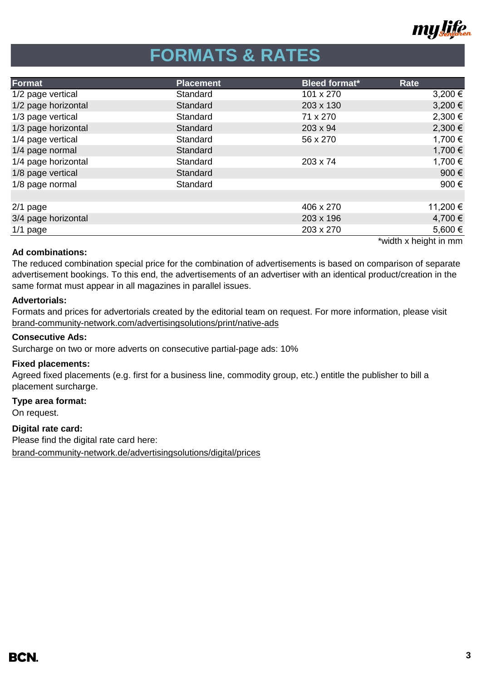

# **FORMATS & RATES**

| Format              | <b>Placement</b> | <b>Bleed format*</b> | Rate     |
|---------------------|------------------|----------------------|----------|
| 1/2 page vertical   | Standard         | 101 x 270            | 3,200 €  |
| 1/2 page horizontal | Standard         | 203 x 130            | 3,200 €  |
| 1/3 page vertical   | Standard         | 71 x 270             | 2,300 €  |
| 1/3 page horizontal | Standard         | 203 x 94             | 2,300 €  |
| 1/4 page vertical   | Standard         | 56 x 270             | 1,700 €  |
| 1/4 page normal     | Standard         |                      | 1,700 €  |
| 1/4 page horizontal | Standard         | 203 x 74             | 1,700 €  |
| 1/8 page vertical   | Standard         |                      | 900€     |
| 1/8 page normal     | Standard         |                      | 900€     |
|                     |                  |                      |          |
| $2/1$ page          |                  | 406 x 270            | 11,200 € |
| 3/4 page horizontal |                  | 203 x 196            | 4,700 €  |
| $1/1$ page          |                  | 203 x 270            | 5,600€   |
|                     |                  |                      | .        |

# **Ad combinations:**

\*width x height in mm

The reduced combination special price for the combination of advertisements is based on comparison of separate advertisement bookings. To this end, the advertisements of an advertiser with an identical product/creation in the same format must appear in all magazines in parallel issues.

# **Advertorials:**

Formats and prices for advertorials created by the editorial team on request. For more information, please visit [brand-community-network.com/advertisin](https://bcn.burda.com/advertisingsolutions/print/native-ads)gsolutions/print/native-ads

## **Consecutive Ads:**

Surcharge on two or more adverts on consecutive partial-page ads: 10%

## **Fixed placements:**

Agreed fixed placements (e.g. first for a business line, commodity group, etc.) entitle the publisher to bill a placement surcharge.

## **Type area format:**

On request.

**Digital rate card:** Please find the digital rate card here:

[brand-community-network.de/advertisingsolutions/digital/prices](https://bcn.burda.com/advertisingsolutions/digital/prices)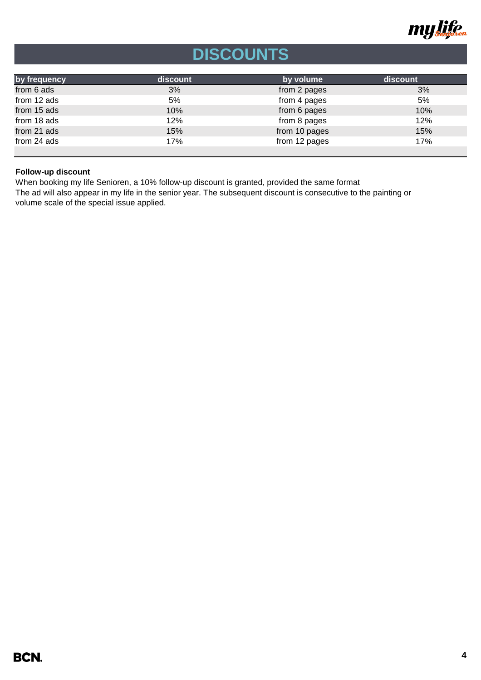

# **DISCOUNTS**

| by frequency | discount | by volume     | discount |
|--------------|----------|---------------|----------|
| from 6 ads   | 3%       | from 2 pages  | 3%       |
| from 12 ads  | 5%       | from 4 pages  | 5%       |
| from 15 ads  | 10%      | from 6 pages  | 10%      |
| from 18 ads  | 12%      | from 8 pages  | 12%      |
| from 21 ads  | 15%      | from 10 pages | 15%      |
| from 24 ads  | 17%      | from 12 pages | 17%      |
|              |          |               |          |

# **Follow-up discount**

When booking my life Senioren, a 10% follow-up discount is granted, provided the same format

The ad will also appear in my life in the senior year. The subsequent discount is consecutive to the painting or volume scale of the special issue applied.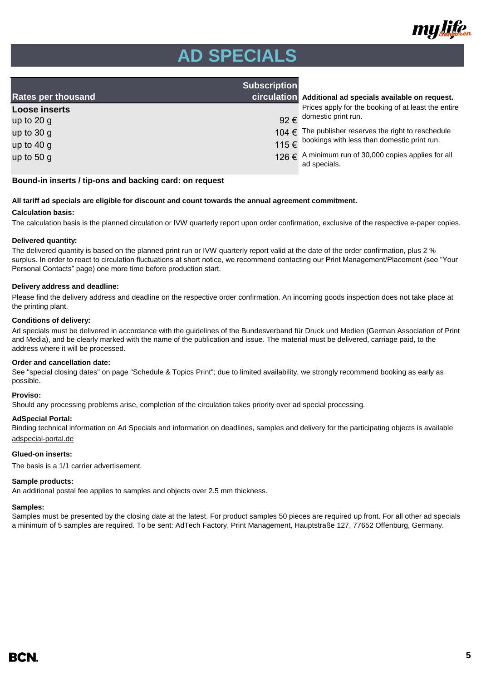

# **AD SPECIALS**

| <b>Rates per thousand</b> | <b>Subscription</b> | circulation Additional ad specials available on request.                 |
|---------------------------|---------------------|--------------------------------------------------------------------------|
| <b>Loose inserts</b>      |                     | Prices apply for the booking of at least the entire                      |
| up to $20$ g              |                     | 92 $\epsilon$ domestic print run.                                        |
| up to $30 g$              |                     | $104 \in$ The publisher reserves the right to reschedule                 |
| up to $40 g$              |                     | 115 € bookings with less than domestic print run.                        |
| up to 50 g                |                     | 126 $\in$ A minimum run of 30,000 copies applies for all<br>ad specials. |

#### **Bound-in inserts / tip-ons and backing card: on request**

### **All tariff ad specials are eligible for discount and count towards the annual agreement commitment.**

#### **Calculation basis:**

The calculation basis is the planned circulation or IVW quarterly report upon order confirmation, exclusive of the respective e-paper copies.

#### **Delivered quantity:**

The delivered quantity is based on the planned print run or IVW quarterly report valid at the date of the order confirmation, plus 2 % surplus. In order to react to circulation fluctuations at short notice, we recommend contacting our Print Management/Placement (see "Your Personal Contacts" page) one more time before production start.

#### **Delivery address and deadline:**

Please find the delivery address and deadline on the respective order confirmation. An incoming goods inspection does not take place at the printing plant.

#### **Conditions of delivery:**

Ad specials must be delivered in accordance with the guidelines of the Bundesverband für Druck und Medien (German Association of Print and Media), and be clearly marked with the name of the publication and issue. The material must be delivered, carriage paid, to the address where it will be processed.

#### **Order and cancellation date:**

See "special closing dates" on page "Schedule & Topics Print"; due to limited availability, we strongly recommend booking as early as possible.

#### **Proviso:**

Should any processing problems arise, completion of the circulation takes priority over ad special processing.

#### **AdSpecial Portal:**

Binding technical information on Ad Specials and information on deadlines, samples and delivery for the participating objects is available adspecial-portal.de

### **Glued-on inserts:**

The basis is a 1/1 carrier advertisement.

### **Sample products:**

An additional postal fee applies to samples and objects over 2.5 mm thickness.

### **Samples:**

Samples must be presented by the closing date at the latest. For product samples 50 pieces are required up front. For all other ad specials a minimum of 5 samples are required. To be sent: AdTech Factory, Print Management, Hauptstraße 127, 77652 Offenburg, Germany.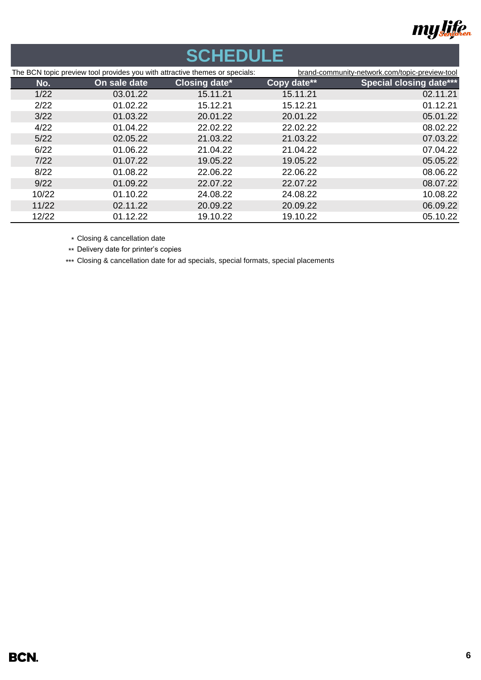

# **SCHEDULE**

| The BCN topic preview tool provides you with attractive themes or specials: |              | brand-community-network.com/topic-preview-tool |             |                                |
|-----------------------------------------------------------------------------|--------------|------------------------------------------------|-------------|--------------------------------|
| No.                                                                         | On sale date | <b>Closing date*</b>                           | Copy date** | <b>Special closing date***</b> |
| 1/22                                                                        | 03.01.22     | 15.11.21                                       | 15.11.21    | 02.11.21                       |
| 2/22                                                                        | 01.02.22     | 15.12.21                                       | 15.12.21    | 01.12.21                       |
| 3/22                                                                        | 01.03.22     | 20.01.22                                       | 20.01.22    | 05.01.22                       |
| 4/22                                                                        | 01.04.22     | 22.02.22                                       | 22.02.22    | 08.02.22                       |
| 5/22                                                                        | 02.05.22     | 21.03.22                                       | 21.03.22    | 07.03.22                       |
| 6/22                                                                        | 01.06.22     | 21.04.22                                       | 21.04.22    | 07.04.22                       |
| 7/22                                                                        | 01.07.22     | 19.05.22                                       | 19.05.22    | 05.05.22                       |
| 8/22                                                                        | 01.08.22     | 22.06.22                                       | 22.06.22    | 08.06.22                       |
| 9/22                                                                        | 01.09.22     | 22.07.22                                       | 22.07.22    | 08.07.22                       |
| 10/22                                                                       | 01.10.22     | 24.08.22                                       | 24.08.22    | 10.08.22                       |
| 11/22                                                                       | 02.11.22     | 20.09.22                                       | 20.09.22    | 06.09.22                       |
| 12/22                                                                       | 01.12.22     | 19.10.22                                       | 19.10.22    | 05.10.22                       |

\* Closing & cancellation date

\*\* Delivery date for printer's copies

\*\*\* Closing & cancellation date for ad specials, special formats, special placements